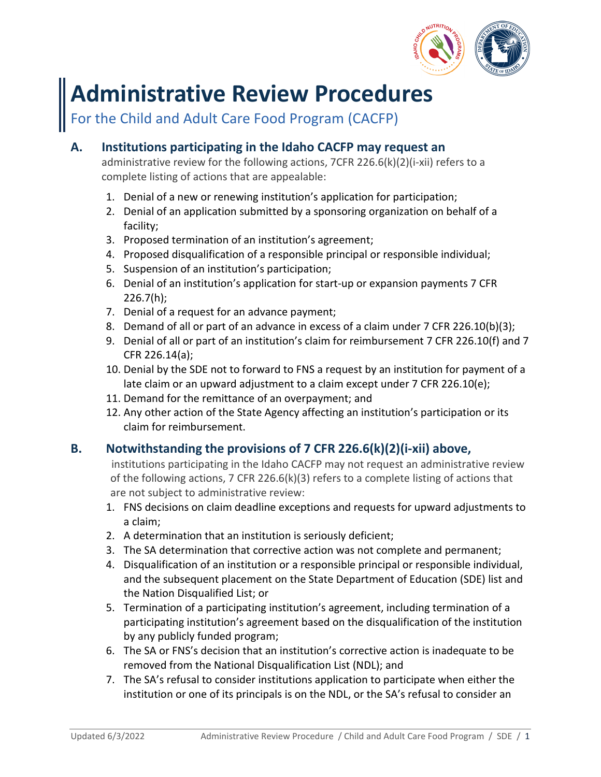

# **Administrative Review Procedures**

For the Child and Adult Care Food Program (CACFP)

## **A. Institutions participating in the Idaho CACFP may request an**

administrative review for the following actions, 7CFR 226.6(k)(2)(i-xii) refers to a complete listing of actions that are appealable:

- 1. Denial of a new or renewing institution's application for participation;
- 2. Denial of an application submitted by a sponsoring organization on behalf of a facility;
- 3. Proposed termination of an institution's agreement;
- 4. Proposed disqualification of a responsible principal or responsible individual;
- 5. Suspension of an institution's participation;
- 6. Denial of an institution's application for start-up or expansion payments 7 CFR  $226.7(h)$ ;
- 7. Denial of a request for an advance payment;
- 8. Demand of all or part of an advance in excess of a claim under 7 CFR 226.10(b)(3);
- 9. Denial of all or part of an institution's claim for reimbursement 7 CFR 226.10(f) and 7 CFR 226.14(a);
- 10. Denial by the SDE not to forward to FNS a request by an institution for payment of a late claim or an upward adjustment to a claim except under 7 CFR 226.10(e);
- 11. Demand for the remittance of an overpayment; and
- 12. Any other action of the State Agency affecting an institution's participation or its claim for reimbursement.

## **B. Notwithstanding the provisions of 7 CFR 226.6(k)(2)(i-xii) above,**

institutions participating in the Idaho CACFP may not request an administrative review of the following actions, 7 CFR 226.6(k)(3) refers to a complete listing of actions that are not subject to administrative review:

- 1. FNS decisions on claim deadline exceptions and requests for upward adjustments to a claim;
- 2. A determination that an institution is seriously deficient;
- 3. The SA determination that corrective action was not complete and permanent;
- 4. Disqualification of an institution or a responsible principal or responsible individual, and the subsequent placement on the State Department of Education (SDE) list and the Nation Disqualified List; or
- 5. Termination of a participating institution's agreement, including termination of a participating institution's agreement based on the disqualification of the institution by any publicly funded program;
- 6. The SA or FNS's decision that an institution's corrective action is inadequate to be removed from the National Disqualification List (NDL); and
- 7. The SA's refusal to consider institutions application to participate when either the institution or one of its principals is on the NDL, or the SA's refusal to consider an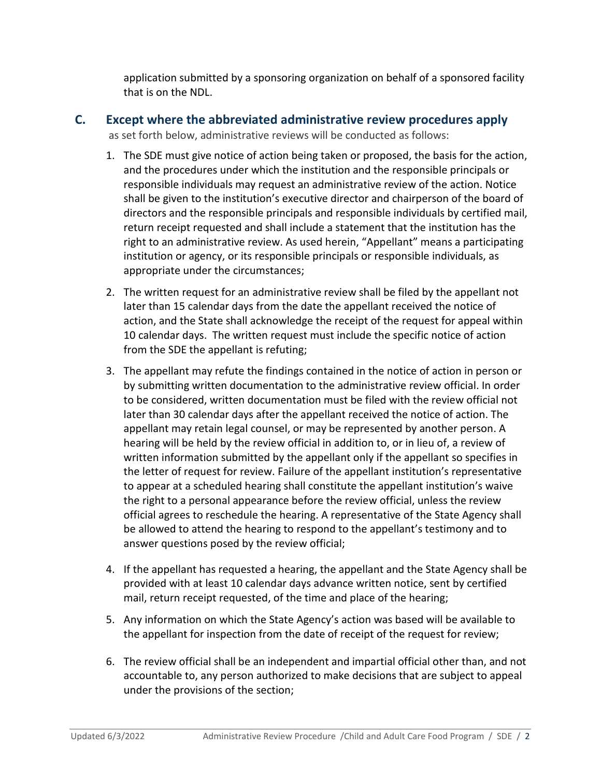application submitted by a sponsoring organization on behalf of a sponsored facility that is on the NDL.

#### **C. Except where the abbreviated administrative review procedures apply** as set forth below, administrative reviews will be conducted as follows:

- 1. The SDE must give notice of action being taken or proposed, the basis for the action, and the procedures under which the institution and the responsible principals or responsible individuals may request an administrative review of the action. Notice shall be given to the institution's executive director and chairperson of the board of directors and the responsible principals and responsible individuals by certified mail, return receipt requested and shall include a statement that the institution has the right to an administrative review. As used herein, "Appellant" means a participating institution or agency, or its responsible principals or responsible individuals, as appropriate under the circumstances;
- 2. The written request for an administrative review shall be filed by the appellant not later than 15 calendar days from the date the appellant received the notice of action, and the State shall acknowledge the receipt of the request for appeal within 10 calendar days. The written request must include the specific notice of action from the SDE the appellant is refuting;
- 3. The appellant may refute the findings contained in the notice of action in person or by submitting written documentation to the administrative review official. In order to be considered, written documentation must be filed with the review official not later than 30 calendar days after the appellant received the notice of action. The appellant may retain legal counsel, or may be represented by another person. A hearing will be held by the review official in addition to, or in lieu of, a review of written information submitted by the appellant only if the appellant so specifies in the letter of request for review. Failure of the appellant institution's representative to appear at a scheduled hearing shall constitute the appellant institution's waive the right to a personal appearance before the review official, unless the review official agrees to reschedule the hearing. A representative of the State Agency shall be allowed to attend the hearing to respond to the appellant's testimony and to answer questions posed by the review official;
- 4. If the appellant has requested a hearing, the appellant and the State Agency shall be provided with at least 10 calendar days advance written notice, sent by certified mail, return receipt requested, of the time and place of the hearing;
- 5. Any information on which the State Agency's action was based will be available to the appellant for inspection from the date of receipt of the request for review;
- 6. The review official shall be an independent and impartial official other than, and not accountable to, any person authorized to make decisions that are subject to appeal under the provisions of the section;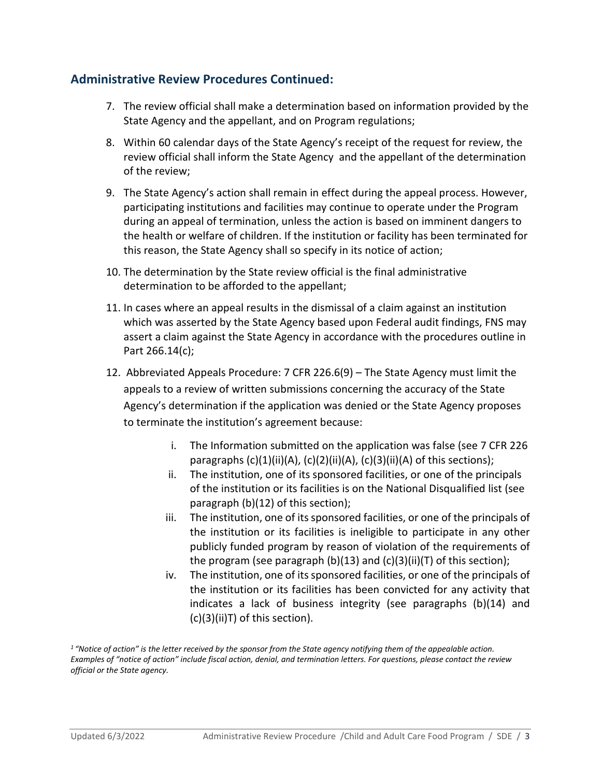### **Administrative Review Procedures Continued:**

- 7. The review official shall make a determination based on information provided by the State Agency and the appellant, and on Program regulations;
- 8. Within 60 calendar days of the State Agency's receipt of the request for review, the review official shall inform the State Agency and the appellant of the determination of the review;
- 9. The State Agency's action shall remain in effect during the appeal process. However, participating institutions and facilities may continue to operate under the Program during an appeal of termination, unless the action is based on imminent dangers to the health or welfare of children. If the institution or facility has been terminated for this reason, the State Agency shall so specify in its notice of action;
- 10. The determination by the State review official is the final administrative determination to be afforded to the appellant;
- 11. In cases where an appeal results in the dismissal of a claim against an institution which was asserted by the State Agency based upon Federal audit findings, FNS may assert a claim against the State Agency in accordance with the procedures outline in Part 266.14(c);
- 12. Abbreviated Appeals Procedure: 7 CFR 226.6(9) The State Agency must limit the appeals to a review of written submissions concerning the accuracy of the State Agency's determination if the application was denied or the State Agency proposes to terminate the institution's agreement because:
	- i. The Information submitted on the application was false (see 7 CFR 226 paragraphs  $(c)(1)(ii)(A), (c)(2)(ii)(A), (c)(3)(ii)(A)$  of this sections);
	- ii. The institution, one of its sponsored facilities, or one of the principals of the institution or its facilities is on the National Disqualified list (see paragraph (b)(12) of this section);
	- iii. The institution, one of its sponsored facilities, or one of the principals of the institution or its facilities is ineligible to participate in any other publicly funded program by reason of violation of the requirements of the program (see paragraph (b)(13) and (c)(3)(ii)(T) of this section);
	- iv. The institution, one of its sponsored facilities, or one of the principals of the institution or its facilities has been convicted for any activity that indicates a lack of business integrity (see paragraphs (b)(14) and (c)(3)(ii)T) of this section).

*1 "Notice of action" is the letter received by the sponsor from the State agency notifying them of the appealable action. Examples of "notice of action" include fiscal action, denial, and termination letters. For questions, please contact the review official or the State agency.*